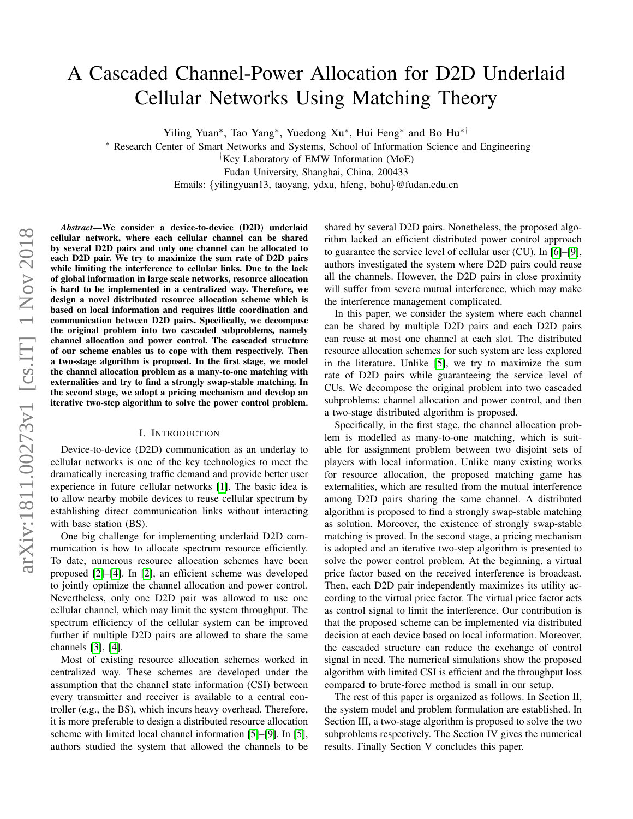# A Cascaded Channel-Power Allocation for D2D Underlaid Cellular Networks Using Matching Theory

Yiling Yuan<sup>∗</sup> , Tao Yang<sup>∗</sup> , Yuedong Xu<sup>∗</sup> , Hui Feng<sup>∗</sup> and Bo Hu∗†

<sup>∗</sup> Research Center of Smart Networks and Systems, School of Information Science and Engineering

†Key Laboratory of EMW Information (MoE)

Fudan University, Shanghai, China, 200433

Emails: {yilingyuan13, taoyang, ydxu, hfeng, bohu}@fudan.edu.cn

*Abstract*—We consider a device-to-device (D2D) underlaid cellular network, where each cellular channel can be shared by several D2D pairs and only one channel can be allocated to each D2D pair. We try to maximize the sum rate of D2D pairs while limiting the interference to cellular links. Due to the lack of global information in large scale networks, resource allocation is hard to be implemented in a centralized way. Therefore, we design a novel distributed resource allocation scheme which is based on local information and requires little coordination and communication between D2D pairs. Specifically, we decompose the original problem into two cascaded subproblems, namely channel allocation and power control. The cascaded structure of our scheme enables us to cope with them respectively. Then a two-stage algorithm is proposed. In the first stage, we model the channel allocation problem as a many-to-one matching with externalities and try to find a strongly swap-stable matching. In the second stage, we adopt a pricing mechanism and develop an iterative two-step algorithm to solve the power control problem.

# I. INTRODUCTION

Device-to-device (D2D) communication as an underlay to cellular networks is one of the key technologies to meet the dramatically increasing traffic demand and provide better user experience in future cellular networks [\[1\]](#page-5-0). The basic idea is to allow nearby mobile devices to reuse cellular spectrum by establishing direct communication links without interacting with base station (BS).

One big challenge for implementing underlaid D2D communication is how to allocate spectrum resource efficiently. To date, numerous resource allocation schemes have been proposed [\[2\]](#page-5-1)–[\[4\]](#page-5-2). In [\[2\]](#page-5-1), an efficient scheme was developed to jointly optimize the channel allocation and power control. Nevertheless, only one D2D pair was allowed to use one cellular channel, which may limit the system throughput. The spectrum efficiency of the cellular system can be improved further if multiple D2D pairs are allowed to share the same channels [\[3\]](#page-5-3), [\[4\]](#page-5-2).

Most of existing resource allocation schemes worked in centralized way. These schemes are developed under the assumption that the channel state information (CSI) between every transmitter and receiver is available to a central controller (e.g., the BS), which incurs heavy overhead. Therefore, it is more preferable to design a distributed resource allocation scheme with limited local channel information [\[5\]](#page-5-4)–[\[9\]](#page-5-5). In [\[5\]](#page-5-4), authors studied the system that allowed the channels to be

shared by several D2D pairs. Nonetheless, the proposed algorithm lacked an efficient distributed power control approach to guarantee the service level of cellular user (CU). In [\[6\]](#page-5-6)–[\[9\]](#page-5-5), authors investigated the system where D2D pairs could reuse all the channels. However, the D2D pairs in close proximity will suffer from severe mutual interference, which may make the interference management complicated.

In this paper, we consider the system where each channel can be shared by multiple D2D pairs and each D2D pairs can reuse at most one channel at each slot. The distributed resource allocation schemes for such system are less explored in the literature. Unlike [\[5\]](#page-5-4), we try to maximize the sum rate of D2D pairs while guaranteeing the service level of CUs. We decompose the original problem into two cascaded subproblems: channel allocation and power control, and then a two-stage distributed algorithm is proposed.

Specifically, in the first stage, the channel allocation problem is modelled as many-to-one matching, which is suitable for assignment problem between two disjoint sets of players with local information. Unlike many existing works for resource allocation, the proposed matching game has externalities, which are resulted from the mutual interference among D2D pairs sharing the same channel. A distributed algorithm is proposed to find a strongly swap-stable matching as solution. Moreover, the existence of strongly swap-stable matching is proved. In the second stage, a pricing mechanism is adopted and an iterative two-step algorithm is presented to solve the power control problem. At the beginning, a virtual price factor based on the received interference is broadcast. Then, each D2D pair independently maximizes its utility according to the virtual price factor. The virtual price factor acts as control signal to limit the interference. Our contribution is that the proposed scheme can be implemented via distributed decision at each device based on local information. Moreover, the cascaded structure can reduce the exchange of control signal in need. The numerical simulations show the proposed algorithm with limited CSI is efficient and the throughput loss compared to brute-force method is small in our setup.

The rest of this paper is organized as follows. In Section II, the system model and problem formulation are established. In Section III, a two-stage algorithm is proposed to solve the two subproblems respectively. The Section IV gives the numerical results. Finally Section V concludes this paper.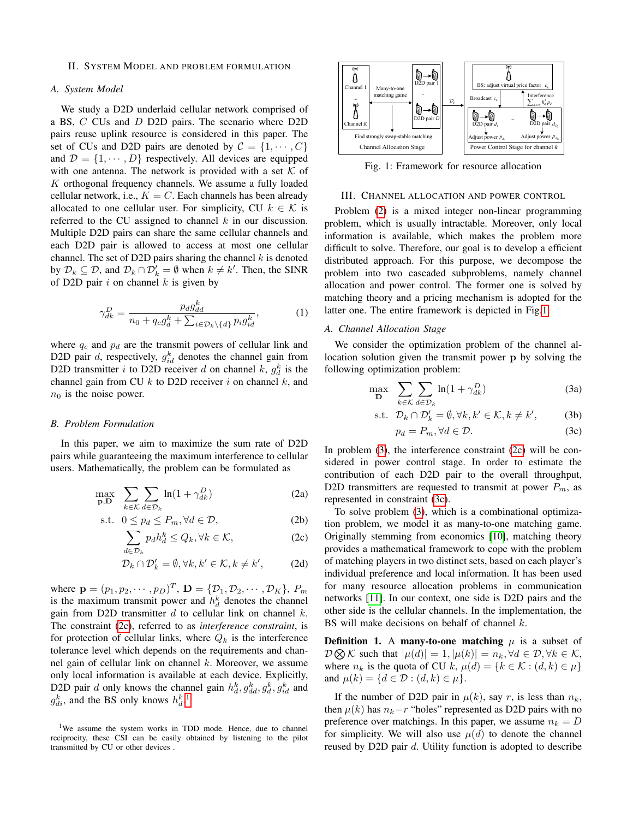### II. SYSTEM MODEL AND PROBLEM FORMULATION

# *A. System Model*

We study a D2D underlaid cellular network comprised of a BS, C CUs and D D2D pairs. The scenario where D2D pairs reuse uplink resource is considered in this paper. The set of CUs and D2D pairs are denoted by  $C = \{1, \dots, C\}$ and  $\mathcal{D} = \{1, \dots, D\}$  respectively. All devices are equipped with one antenna. The network is provided with a set  $K$  of  $K$  orthogonal frequency channels. We assume a fully loaded cellular network, i.e.,  $K = C$ . Each channels has been already allocated to one cellular user. For simplicity, CU  $k \in \mathcal{K}$  is referred to the CU assigned to channel  $k$  in our discussion. Multiple D2D pairs can share the same cellular channels and each D2D pair is allowed to access at most one cellular channel. The set of D2D pairs sharing the channel  $k$  is denoted by  $\mathcal{D}_k \subseteq \mathcal{D}$ , and  $\mathcal{D}_k \cap \mathcal{D}'_k = \emptyset$  when  $k \neq k'$ . Then, the SINR of D2D pair  $i$  on channel  $k$  is given by

<span id="page-1-6"></span>
$$
\gamma_{dk}^D = \frac{p_d g_{dd}^k}{n_0 + q_c g_d^k + \sum_{i \in \mathcal{D}_k \setminus \{d\}} p_i g_{id}^k},\tag{1}
$$

where  $q_c$  and  $p_d$  are the transmit powers of cellular link and D2D pair d, respectively,  $g_{id}^k$  denotes the channel gain from D2D transmitter *i* to D2D receiver *d* on channel *k*,  $g_d^k$  is the channel gain from CU  $k$  to D2D receiver  $i$  on channel  $k$ , and  $n_0$  is the noise power.

## *B. Problem Formulation*

In this paper, we aim to maximize the sum rate of D2D pairs while guaranteeing the maximum interference to cellular users. Mathematically, the problem can be formulated as

$$
\max_{\mathbf{p}, \mathbf{D}} \sum_{k \in \mathcal{K}} \sum_{d \in \mathcal{D}_k} \ln(1 + \gamma_{dk}^D) \tag{2a}
$$

$$
\text{s.t. } 0 \le p_d \le P_m, \forall d \in \mathcal{D},\tag{2b}
$$

$$
\sum_{d \in \mathcal{D}_k} p_d h_d^k \le Q_k, \forall k \in \mathcal{K},\tag{2c}
$$

$$
\mathcal{D}_k \cap \mathcal{D}'_k = \emptyset, \forall k, k' \in \mathcal{K}, k \neq k', \tag{2d}
$$

where  $\mathbf{p} = (p_1, p_2, \dots, p_D)^T$ ,  $\mathbf{D} = \{ \mathcal{D}_1, \mathcal{D}_2, \dots, \mathcal{D}_K \}$ ,  $P_m$ is the maximum transmit power and  $h_d^k$  denotes the channel gain from D2D transmitter  $d$  to cellular link on channel  $k$ . The constraint [\(2c\)](#page-1-0), referred to as *interference constraint*, is for protection of cellular links, where  $Q_k$  is the interference tolerance level which depends on the requirements and channel gain of cellular link on channel  $k$ . Moreover, we assume only local information is available at each device. Explicitly, D2D pair d only knows the channel gain  $h_d^k$ ,  $g_{dd}^k$ ,  $g_d^k$ ,  $g_{id}^k$  and  $g_{di}^k$ , and the BS only knows  $h_d^k$ .<sup>[1](#page-1-1)</sup>

<span id="page-1-3"></span>

Fig. 1: Framework for resource allocation

## III. CHANNEL ALLOCATION AND POWER CONTROL

Problem [\(2\)](#page-1-2) is a mixed integer non-linear programming problem, which is usually intractable. Moreover, only local information is available, which makes the problem more difficult to solve. Therefore, our goal is to develop a efficient distributed approach. For this purpose, we decompose the problem into two cascaded subproblems, namely channel allocation and power control. The former one is solved by matching theory and a pricing mechanism is adopted for the latter one. The entire framework is depicted in Fig[.1.](#page-1-3)

#### *A. Channel Allocation Stage*

We consider the optimization problem of the channel allocation solution given the transmit power p by solving the following optimization problem:

<span id="page-1-4"></span>
$$
\max_{\mathbf{D}} \sum_{k \in \mathcal{K}} \sum_{d \in \mathcal{D}_k} \ln(1 + \gamma_{dk}^D) \tag{3a}
$$

$$
\text{s.t.} \quad \mathcal{D}_k \cap \mathcal{D}'_k = \emptyset, \forall k, k' \in \mathcal{K}, k \neq k', \tag{3b}
$$

<span id="page-1-5"></span>
$$
p_d = P_m, \forall d \in \mathcal{D}.\tag{3c}
$$

<span id="page-1-2"></span>In problem [\(3\)](#page-1-4), the interference constraint [\(2c\)](#page-1-0) will be considered in power control stage. In order to estimate the contribution of each D2D pair to the overall throughput, D2D transmitters are requested to transmit at power  $P_m$ , as represented in constraint [\(3c\)](#page-1-5).

<span id="page-1-0"></span>To solve problem [\(3\)](#page-1-4), which is a combinational optimization problem, we model it as many-to-one matching game. Originally stemming from economics [\[10\]](#page-5-7), matching theory provides a mathematical framework to cope with the problem of matching players in two distinct sets, based on each player's individual preference and local information. It has been used for many resource allocation problems in communication networks [\[11\]](#page-5-8). In our context, one side is D2D pairs and the other side is the cellular channels. In the implementation, the BS will make decisions on behalf of channel  $k$ .

**Definition 1.** A many-to-one matching  $\mu$  is a subset of  $\mathcal{D}\bigotimes \mathcal{K}$  such that  $|\mu(d)| = 1, |\mu(k)| = n_k, \forall d \in \mathcal{D}, \forall k \in \mathcal{K},$ where  $n_k$  is the quota of CU k,  $\mu(d) = \{k \in \mathcal{K} : (d, k) \in \mu\}$ and  $\mu(k) = \{d \in \mathcal{D} : (d, k) \in \mu\}.$ 

If the number of D2D pair in  $\mu(k)$ , say r, is less than  $n_k$ , then  $\mu(k)$  has  $n_k-r$  "holes" represented as D2D pairs with no preference over matchings. In this paper, we assume  $n_k = D$ for simplicity. We will also use  $\mu(d)$  to denote the channel reused by D2D pair d. Utility function is adopted to describe

<span id="page-1-1"></span><sup>&</sup>lt;sup>1</sup>We assume the system works in TDD mode. Hence, due to channel reciprocity, these CSI can be easily obtained by listening to the pilot transmitted by CU or other devices .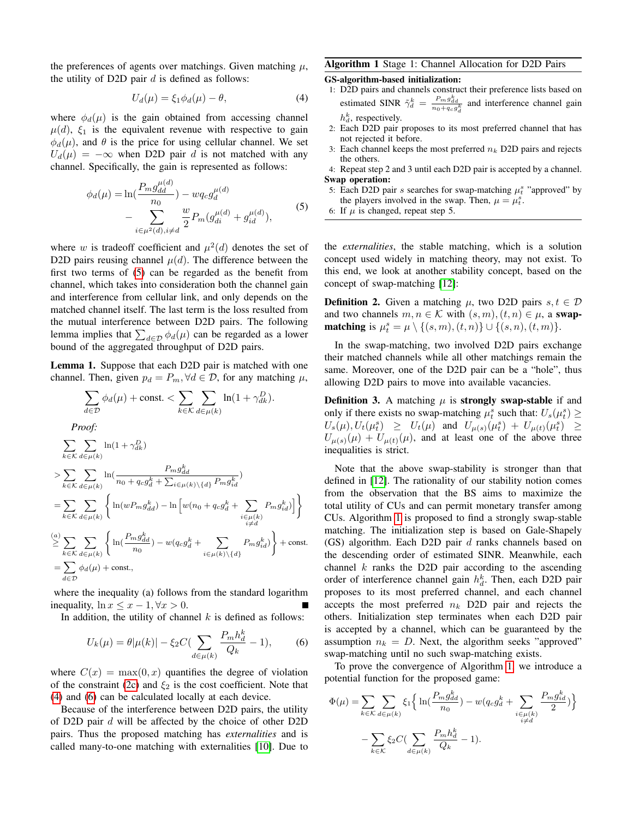the preferences of agents over matchings. Given matching  $\mu$ , the utility of D2D pair  $d$  is defined as follows:

<span id="page-2-1"></span>
$$
U_d(\mu) = \xi_1 \phi_d(\mu) - \theta,\tag{4}
$$

where  $\phi_d(\mu)$  is the gain obtained from accessing channel  $\mu(d)$ ,  $\xi_1$  is the equivalent revenue with respective to gain  $\phi_d(\mu)$ , and  $\theta$  is the price for using cellular channel. We set  $U_d(\mu) = -\infty$  when D2D pair d is not matched with any channel. Specifically, the gain is represented as follows:

<span id="page-2-0"></span>
$$
\phi_d(\mu) = \ln(\frac{P_m g_{dd}^{\mu(d)}}{n_0}) - w q_c g_d^{\mu(d)}
$$
  
- 
$$
\sum_{i \in \mu^2(d), i \neq d} \frac{w}{2} P_m(g_{di}^{\mu(d)} + g_{id}^{\mu(d)}),
$$
 (5)

where w is tradeoff coefficient and  $\mu^2(d)$  denotes the set of D2D pairs reusing channel  $\mu(d)$ . The difference between the first two terms of [\(5\)](#page-2-0) can be regarded as the benefit from channel, which takes into consideration both the channel gain and interference from cellular link, and only depends on the matched channel itself. The last term is the loss resulted from the mutual interference between D2D pairs. The following lemma implies that  $\sum_{d \in \mathcal{D}} \phi_d(\mu)$  can be regarded as a lower bound of the aggregated throughput of D2D pairs.

Lemma 1. Suppose that each D2D pair is matched with one channel. Then, given  $p_d = P_m, \forall d \in \mathcal{D}$ , for any matching  $\mu$ ,

$$
\sum_{d \in \mathcal{D}} \phi_d(\mu) + \text{const.} < \sum_{k \in \mathcal{K}} \sum_{d \in \mu(k)} \ln(1 + \gamma_{dk}^D).
$$
\n*Proof:*\n
$$
\sum_{k \in \mathcal{K}} \sum_{d \in \mu(k)} \ln(1 + \gamma_{dk}^D)
$$
\n
$$
> \sum_{k \in \mathcal{K}} \sum_{d \in \mu(k)} \ln\left(\frac{P_m g_{dd}^k}{n_0 + q_c g_d^k + \sum_{i \in \mu(k)} \setminus \{d\}} P_m g_{id}^k\right)
$$
\n
$$
= \sum_{k \in \mathcal{K}} \sum_{d \in \mu(k)} \left\{ \ln(w P_m g_{dd}^k) - \ln\left[w(n_0 + q_c g_d^k + \sum_{\substack{i \in \mu(k) \\ i \neq d}} P_m g_{id}^k)\right] \right\}
$$
\n
$$
\leq \sum_{k \in \mathcal{K}} \sum_{d \in \mu(k)} \left\{ \ln\left(\frac{P_m g_{dd}^k}{n_0}\right) - w(q_c g_d^k + \sum_{i \in \mu(k) \setminus \{d\}} P_m g_{id}^k) \right\} + \text{const.}
$$
\n
$$
= \sum_{d \in \mathcal{D}} \phi_d(\mu) + \text{const.},
$$

where the inequality (a) follows from the standard logarithm inequality,  $\ln x \leq x - 1, \forall x > 0$ .

In addition, the utility of channel  $k$  is defined as follows:

<span id="page-2-2"></span>
$$
U_k(\mu) = \theta |\mu(k)| - \xi_2 C (\sum_{d \in \mu(k)} \frac{P_m h_d^k}{Q_k} - 1), \tag{6}
$$

where  $C(x) = \max(0, x)$  quantifies the degree of violation of the constraint [\(2c\)](#page-1-0) and  $\xi_2$  is the cost coefficient. Note that [\(4\)](#page-2-1) and [\(6\)](#page-2-2) can be calculated locally at each device.

Because of the interference between D2D pairs, the utility of D2D pair d will be affected by the choice of other D2D pairs. Thus the proposed matching has *externalities* and is called many-to-one matching with externalities [\[10\]](#page-5-7). Due to

# <span id="page-2-3"></span>Algorithm 1 Stage 1: Channel Allocation for D2D Pairs

GS-algorithm-based initialization:

- 1: D2D pairs and channels construct their preference lists based on estimated SINR  $\tilde{\gamma}_d^k = \frac{P_m g_{dd}^k}{n_0 + q_c g_d^k}$  and interference channel gain  $h_d^k$ , respectively.
- 2: Each D2D pair proposes to its most preferred channel that has not rejected it before.
- 3: Each channel keeps the most preferred  $n_k$  D2D pairs and rejects the others.

4: Repeat step 2 and 3 until each D2D pair is accepted by a channel. Swap operation:

- 5: Each D2D pair s searches for swap-matching  $\mu_t^s$  "approved" by the players involved in the swap. Then,  $\mu = \mu_t^s$ .
- 6: If  $\mu$  is changed, repeat step 5.

the *externalities*, the stable matching, which is a solution concept used widely in matching theory, may not exist. To this end, we look at another stability concept, based on the concept of swap-matching [\[12\]](#page-5-9):

**Definition 2.** Given a matching  $\mu$ , two D2D pairs  $s, t \in \mathcal{D}$ and two channels  $m, n \in \mathcal{K}$  with  $(s, m), (t, n) \in \mu$ , a swap**matching** is  $\mu_t^s = \mu \setminus \{(s, m), (t, n)\} \cup \{(s, n), (t, m)\}.$ 

In the swap-matching, two involved D2D pairs exchange their matched channels while all other matchings remain the same. Moreover, one of the D2D pair can be a "hole", thus allowing D2D pairs to move into available vacancies.

**Definition 3.** A matching  $\mu$  is **strongly swap-stable** if and only if there exists no swap-matching  $\mu_t^s$  such that:  $U_s(\mu_t^s) \ge$  $U_s(\mu), U_t(\mu_t^s) \geq U_t(\mu)$  and  $U_{\mu(s)}(\mu_t^s) + U_{\mu(t)}(\mu_t^s) \geq$  $U_{\mu(s)}(\mu) + U_{\mu(t)}(\mu)$ , and at least one of the above three inequalities is strict.

Note that the above swap-stability is stronger than that defined in [\[12\]](#page-5-9). The rationality of our stability notion comes from the observation that the BS aims to maximize the total utility of CUs and can permit monetary transfer among CUs. Algorithm [1](#page-2-3) is proposed to find a strongly swap-stable matching. The initialization step is based on Gale-Shapely (GS) algorithm. Each D2D pair d ranks channels based on the descending order of estimated SINR. Meanwhile, each channel  $k$  ranks the D2D pair according to the ascending order of interference channel gain  $h_d^k$ . Then, each D2D pair proposes to its most preferred channel, and each channel accepts the most preferred  $n_k$  D2D pair and rejects the others. Initialization step terminates when each D2D pair is accepted by a channel, which can be guaranteed by the assumption  $n_k = D$ . Next, the algorithm seeks "approved" swap-matching until no such swap-matching exists.

To prove the convergence of Algorithm [1,](#page-2-3) we introduce a potential function for the proposed game:

$$
\Phi(\mu) = \sum_{k \in \mathcal{K}} \sum_{d \in \mu(k)} \xi_1 \Big\{ \ln(\frac{P_m g_{dd}^k}{n_0}) - w(q_c g_d^k + \sum_{\substack{i \in \mu(k) \\ i \neq d}} \frac{P_m g_{id}^k}{2}) \Big\}
$$

$$
- \sum_{k \in \mathcal{K}} \xi_2 C \Big( \sum_{d \in \mu(k)} \frac{P_m h_d^k}{Q_k} - 1 \Big).
$$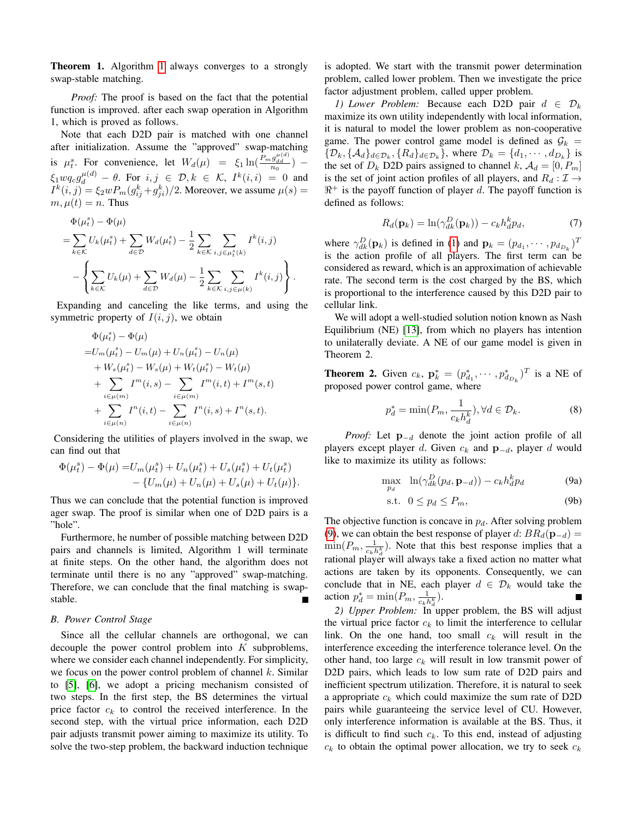Theorem 1. Algorithm [1](#page-2-3) always converges to a strongly swap-stable matching.

*Proof:* The proof is based on the fact that the potential function is improved. after each swap operation in Algorithm 1, which is proved as follows.

Note that each D2D pair is matched with one channel after initialization. Assume the "approved" swap-matching is  $\mu_t^s$ . For convenience, let  $W_d(\mu) = \xi_1 \ln(\frac{\bar{P}_m g_{dd}^{(\mu)}}{n_0})$  –  $\xi_1 w q_c g_d^{\mu(d)} - \theta$ . For  $i, j \in \mathcal{D}, k \in \mathcal{K}, I^k(i, i) = 0$  and  $I^k(i, j) = \xi_2 w P_m (g_{ij}^k + g_{ji}^k)/2$ . Moreover, we assume  $\mu(s) =$  $m, \mu(t) = n$ . Thus

$$
\Phi(\mu_i^s) - \Phi(\mu) \n= \sum_{k \in \mathcal{K}} U_k(\mu_i^s) + \sum_{d \in \mathcal{D}} W_d(\mu_i^s) - \frac{1}{2} \sum_{k \in \mathcal{K}} \sum_{i,j \in \mu_i^s(k)} I^k(i,j) \n- \left\{ \sum_{k \in \mathcal{K}} U_k(\mu) + \sum_{d \in \mathcal{D}} W_d(\mu) - \frac{1}{2} \sum_{k \in \mathcal{K}} \sum_{i,j \in \mu(k)} I^k(i,j) \right\}.
$$

Expanding and canceling the like terms, and using the symmetric property of  $I(i, j)$ , we obtain

$$
\Phi(\mu_t^s) - \Phi(\mu) \n= U_m(\mu_t^s) - U_m(\mu) + U_n(\mu_t^s) - U_n(\mu) \n+ W_s(\mu_t^s) - W_s(\mu) + W_t(\mu_t^s) - W_t(\mu) \n+ \sum_{i \in \mu(m)} I^m(i, s) - \sum_{i \in \mu(m)} I^m(i, t) + I^m(s, t) \n+ \sum_{i \in \mu(n)} I^n(i, t) - \sum_{i \in \mu(n)} I^n(i, s) + I^n(s, t).
$$

Considering the utilities of players involved in the swap, we can find out that

$$
\Phi(\mu_t^s) - \Phi(\mu) = U_m(\mu_t^s) + U_n(\mu_t^s) + U_s(\mu_t^s) + U_t(\mu_t^s) - \{U_m(\mu) + U_n(\mu) + U_s(\mu) + U_t(\mu)\}.
$$

Thus we can conclude that the potential function is improved ager swap. The proof is similar when one of D2D pairs is a "hole".

Furthermore, he number of possible matching between D2D pairs and channels is limited, Algorithm 1 will terminate at finite steps. On the other hand, the algorithm does not terminate until there is no any "approved" swap-matching. Therefore, we can conclude that the final matching is swapstable.

# *B. Power Control Stage*

Since all the cellular channels are orthogonal, we can decouple the power control problem into  $K$  subproblems, where we consider each channel independently. For simplicity, we focus on the power control problem of channel  $k$ . Similar to [\[5\]](#page-5-4), [\[6\]](#page-5-6), we adopt a pricing mechanism consisted of two steps. In the first step, the BS determines the virtual price factor  $c_k$  to control the received interference. In the second step, with the virtual price information, each D2D pair adjusts transmit power aiming to maximize its utility. To solve the two-step problem, the backward induction technique

is adopted. We start with the transmit power determination problem, called lower problem. Then we investigate the price factor adjustment problem, called upper problem.

*1)* Lower Problem: Because each D2D pair  $d \in \mathcal{D}_k$ maximize its own utility independently with local information, it is natural to model the lower problem as non-cooperative game. The power control game model is defined as  $\mathcal{G}_k =$  $\{\mathcal{D}_k, \{\mathcal{A}_d\}_{d \in \mathcal{D}_k}, \{R_d\}_{d \in \mathcal{D}_k}\}\)$ , where  $\mathcal{D}_k = \{d_1, \dots, d_{D_k}\}\)$  is the set of  $D_k$  D2D pairs assigned to channel k,  $A_d = [0, P_m]$ is the set of joint action profiles of all players, and  $R_d : \mathcal{I} \to$  $\mathbb{R}^+$  is the payoff function of player d. The payoff function is defined as follows:

$$
R_d(\mathbf{p}_k) = \ln(\gamma_{dk}^D(\mathbf{p}_k)) - c_k h_d^k p_d, \tag{7}
$$

where  $\gamma_{dk}^D(\mathbf{p}_k)$  is defined in [\(1\)](#page-1-6) and  $\mathbf{p}_k = (p_{d_1}, \dots, p_{d_{D_k}})^T$ is the action profile of all players. The first term can be considered as reward, which is an approximation of achievable rate. The second term is the cost charged by the BS, which is proportional to the interference caused by this D2D pair to cellular link.

We will adopt a well-studied solution notion known as Nash Equilibrium (NE) [\[13\]](#page-5-10), from which no players has intention to unilaterally deviate. A NE of our game model is given in Theorem 2.

**Theorem 2.** Given  $c_k$ ,  $\mathbf{p}_k^* = (p_{d_1}^*, \dots, p_{d_{D_k}}^*)^T$  is a NE of proposed power control game, where

<span id="page-3-1"></span>
$$
p_d^* = \min(P_m, \frac{1}{c_k h_d^k}), \forall d \in \mathcal{D}_k.
$$
 (8)

*Proof:* Let **p**<sub>−d</sub> denote the joint action profile of all players except player d. Given  $c_k$  and  $\mathbf{p}_{-d}$ , player d would like to maximize its utility as follows:

<span id="page-3-0"></span>
$$
\max_{p_d} \quad \ln(\gamma_{dk}^D(p_d, \mathbf{p}_{-d})) - c_k h_d^k p_d \tag{9a}
$$

$$
\text{s.t. } 0 \le p_d \le P_m,\tag{9b}
$$

The objective function is concave in  $p_d$ . After solving problem [\(9\)](#page-3-0), we can obtain the best response of player d:  $BR_d(\mathbf{p}_{-d}) =$  $\min(P_m, \frac{1}{c_k h_a^k})$ . Note that this best response implies that a rational player will always take a fixed action no matter what actions are taken by its opponents. Consequently, we can conclude that in NE, each player  $d \in \mathcal{D}_k$  would take the action  $p_d^* = \min(P_m, \frac{1}{c_k h_d^k}).$ 

*2) Upper Problem:* In upper problem, the BS will adjust the virtual price factor  $c_k$  to limit the interference to cellular link. On the one hand, too small  $c_k$  will result in the interference exceeding the interference tolerance level. On the other hand, too large  $c_k$  will result in low transmit power of D2D pairs, which leads to low sum rate of D2D pairs and inefficient spectrum utilization. Therefore, it is natural to seek a appropriate  $c_k$  which could maximize the sum rate of D2D pairs while guaranteeing the service level of CU. However, only interference information is available at the BS. Thus, it is difficult to find such  $c_k$ . To this end, instead of adjusting  $c_k$  to obtain the optimal power allocation, we try to seek  $c_k$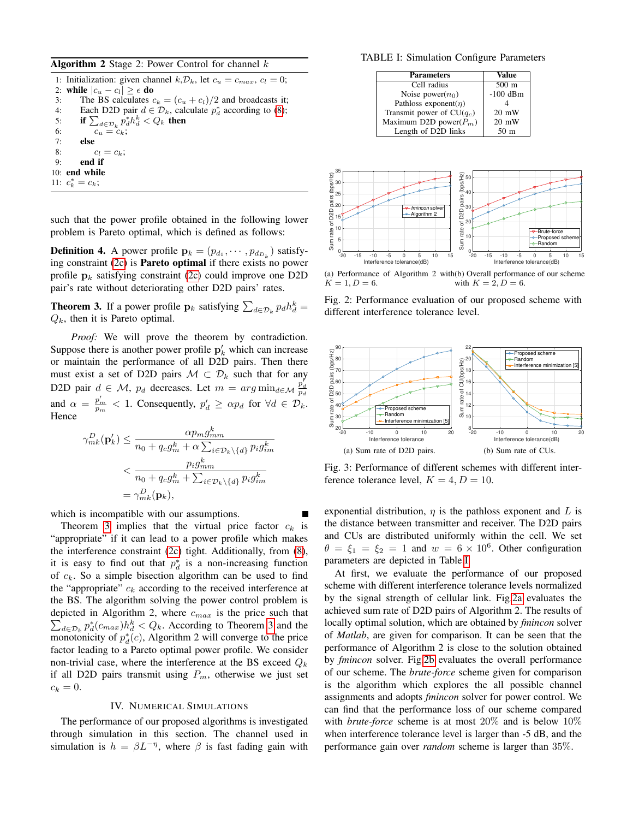### <span id="page-4-5"></span>**Algorithm 2** Stage 2: Power Control for channel  $k$

1: Initialization: given channel  $k, \mathcal{D}_k$ , let  $c_u = c_{max}, c_l = 0$ ; 2: while  $|c_u - c_l| \geq \epsilon$  do 3: The BS calculates  $c_k = (c_u + c_l)/2$  and broadcasts it; 4: Each D2D pair  $d \in \mathcal{D}_k$ , calculate  $p_d^*$  according to [\(8\)](#page-3-1); 5: if  $\sum_{d \in \mathcal{D}_k} \hat{p}_d^* h_d^k < Q_k$  then 6:  $c_u = c_k;$ <br>7: **else** else 8:  $c_l = c_k;$ 9: end if 10: end while 11:  $c_k^* = c_k;$ 

such that the power profile obtained in the following lower problem is Pareto optimal, which is defined as follows:

**Definition 4.** A power profile  $\mathbf{p}_k = (p_{d_1}, \dots, p_{d_{D_k}})$  satisfying constraint  $(2c)$  is **Pareto optimal** if there exists no power profile  $p_k$  satisfying constraint [\(2c\)](#page-1-0) could improve one D2D pair's rate without deteriorating other D2D pairs' rates.

<span id="page-4-0"></span>**Theorem 3.** If a power profile  $\mathbf{p}_k$  satisfying  $\sum_{d \in \mathcal{D}_k} p_d h_d^k =$  $Q_k$ , then it is Pareto optimal.

*Proof:* We will prove the theorem by contradiction. Suppose there is another power profile  $p'_{k}$  which can increase or maintain the performance of all D2D pairs. Then there must exist a set of D2D pairs  $\mathcal{M} \subset \mathcal{D}_k$  such that for any D2D pair  $d \in \mathcal{M}$ ,  $p_d$  decreases. Let  $m = arg \min_{d \in \mathcal{M}} \frac{p_d^d}{p_d}$ and  $\alpha = \frac{p'_m}{p_m} < 1$ . Consequently,  $p'_d \ge \alpha p_d$  for  $\forall d \in \mathcal{D}_k$ . Hence

$$
\gamma_{mk}^{D}(\mathbf{p}_{k}') \leq \frac{\alpha p_{m} g_{mm}^{k}}{n_{0} + q_{c} g_{m}^{k} + \alpha \sum_{i \in \mathcal{D}_{k} \setminus \{d\}} p_{i} g_{im}^{k}}
$$
  

$$
< \frac{p_{i} g_{mm}^{k}}{n_{0} + q_{c} g_{m}^{k} + \sum_{i \in \mathcal{D}_{k} \setminus \{d\}} p_{i} g_{im}^{k}}
$$
  

$$
= \gamma_{mk}^{D}(\mathbf{p}_{k}),
$$

which is incompatible with our assumptions.

Theorem [3](#page-4-0) implies that the virtual price factor  $c_k$  is "appropriate" if it can lead to a power profile which makes the interference constraint [\(2c\)](#page-1-0) tight. Additionally, from [\(8\)](#page-3-1), it is easy to find out that  $p_d^*$  is a non-increasing function of  $c_k$ . So a simple bisection algorithm can be used to find the "appropriate"  $c_k$  according to the received interference at the BS. The algorithm solving the power control problem is  $\sum_{d \in \mathcal{D}_k} p_d^*(c_{max}) h_d^k < Q_k$ . According to Theorem [3](#page-4-0) and the depicted in Algorithm 2, where  $c_{max}$  is the price such that monotonicity of  $p_d^*(c)$ , Algorithm 2 will converge to the price factor leading to a Pareto optimal power profile. We consider non-trivial case, where the interference at the BS exceed  $Q_k$ if all D2D pairs transmit using  $P_m$ , otherwise we just set  $c_k = 0.$ 

#### IV. NUMERICAL SIMULATIONS

The performance of our proposed algorithms is investigated through simulation in this section. The channel used in simulation is  $h = \beta L^{-\eta}$ , where  $\beta$  is fast fading gain with

<span id="page-4-1"></span>TABLE I: Simulation Configure Parameters

| <b>Parameters</b>           | Value           |
|-----------------------------|-----------------|
| Cell radius                 | $500 \text{ m}$ |
| Noise power $(n_0)$         | $-100$ dBm      |
| Pathloss exponent( $\eta$ ) |                 |
| Transmit power of $CU(q_c)$ | $20 \text{ mW}$ |
| Maximum D2D power( $P_m$ )  | $20 \text{ mW}$ |
| Length of D2D links         | 50 <sub>m</sub> |

<span id="page-4-2"></span>

<span id="page-4-3"></span> $K = 1, D = 6.$ with  $K = 2, D = 6.$ 

Fig. 2: Performance evaluation of our proposed scheme with different interference tolerance level.

<span id="page-4-4"></span>

Fig. 3: Performance of different schemes with different interference tolerance level,  $K = 4, D = 10$ .

exponential distribution,  $\eta$  is the pathloss exponent and L is the distance between transmitter and receiver. The D2D pairs and CUs are distributed uniformly within the cell. We set  $\theta = \xi_1 = \xi_2 = 1$  and  $w = 6 \times 10^6$ . Other configuration parameters are depicted in Table[.I.](#page-4-1)

At first, we evaluate the performance of our proposed scheme with different interference tolerance levels normalized by the signal strength of cellular link. Fig[.2a](#page-4-2) evaluates the achieved sum rate of D2D pairs of Algorithm 2. The results of locally optimal solution, which are obtained by *fmincon* solver of *Matlab*, are given for comparison. It can be seen that the performance of Algorithm 2 is close to the solution obtained by *fmincon* solver. Fig[.2b](#page-4-3) evaluates the overall performance of our scheme. The *brute-force* scheme given for comparison is the algorithm which explores the all possible channel assignments and adopts *fmincon* solver for power control. We can find that the performance loss of our scheme compared with *brute-force* scheme is at most 20% and is below 10% when interference tolerance level is larger than -5 dB, and the performance gain over *random* scheme is larger than 35%.